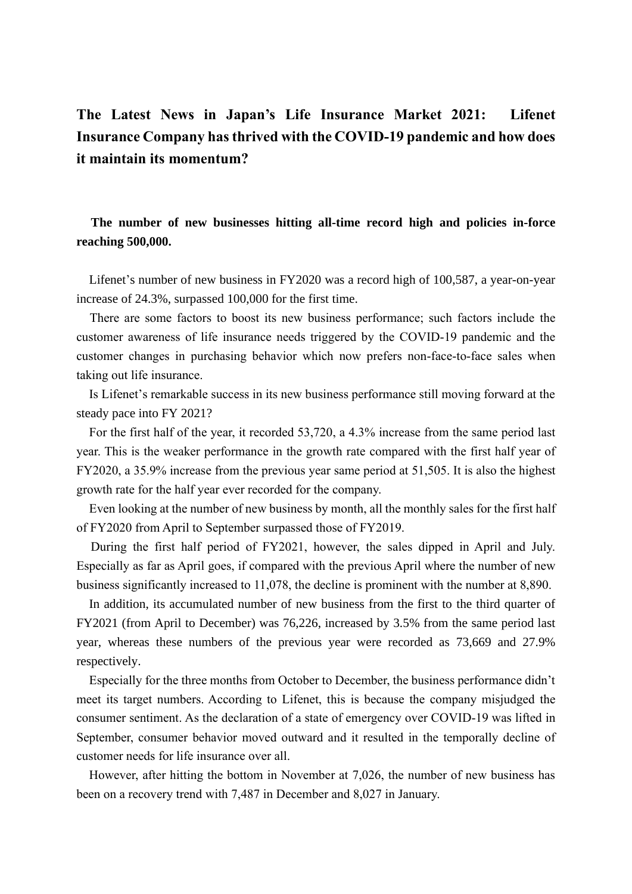# **The Latest News in Japan's Life Insurance Market 2021: Lifenet Insurance Company has thrived with the COVID-19 pandemic and how does it maintain its momentum?**

**The number of new businesses hitting all-time record high and policies in-force reaching 500,000.**

Lifenet's number of new business in FY2020 was a record high of 100,587, a year-on-year increase of 24.3%, surpassed 100,000 for the first time.

There are some factors to boost its new business performance; such factors include the customer awareness of life insurance needs triggered by the COVID-19 pandemic and the customer changes in purchasing behavior which now prefers non-face-to-face sales when taking out life insurance.

Is Lifenet's remarkable success in its new business performance still moving forward at the steady pace into FY 2021?

For the first half of the year, it recorded 53,720, a 4.3% increase from the same period last year. This is the weaker performance in the growth rate compared with the first half year of FY2020, a 35.9% increase from the previous year same period at 51,505. It is also the highest growth rate for the half year ever recorded for the company.

Even looking at the number of new business by month, all the monthly sales for the first half of FY2020 from April to September surpassed those of FY2019.

During the first half period of FY2021, however, the sales dipped in April and July. Especially as far as April goes, if compared with the previous April where the number of new business significantly increased to 11,078, the decline is prominent with the number at 8,890.

In addition, its accumulated number of new business from the first to the third quarter of FY2021 (from April to December) was 76,226, increased by 3.5% from the same period last year, whereas these numbers of the previous year were recorded as 73,669 and 27.9% respectively.

Especially for the three months from October to December, the business performance didn't meet its target numbers. According to Lifenet, this is because the company misjudged the consumer sentiment. As the declaration of a state of emergency over COVID-19 was lifted in September, consumer behavior moved outward and it resulted in the temporally decline of customer needs for life insurance over all.

However, after hitting the bottom in November at 7,026, the number of new business has been on a recovery trend with 7,487 in December and 8,027 in January.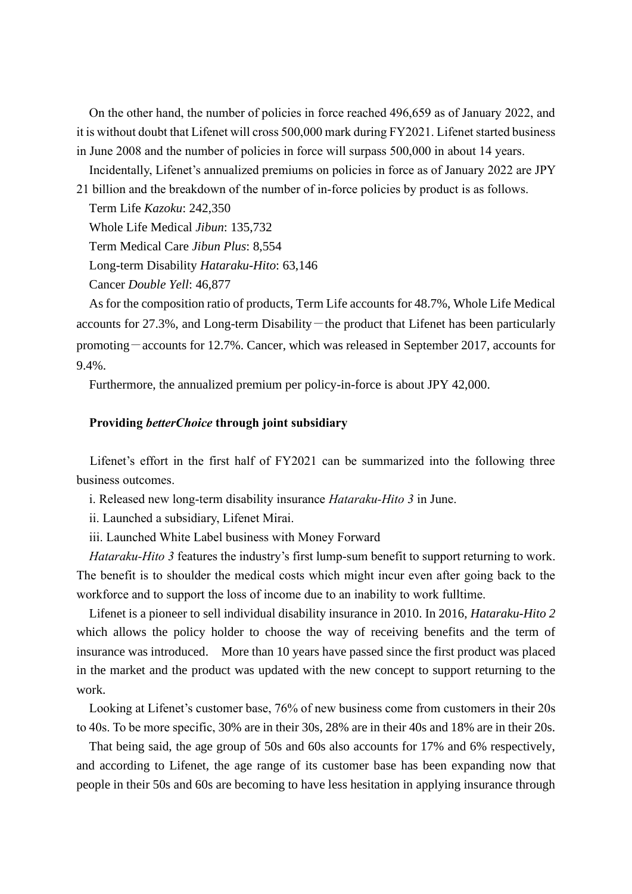On the other hand, the number of policies in force reached 496,659 as of January 2022, and it is without doubt that Lifenet will cross 500,000 mark during FY2021. Lifenet started business in June 2008 and the number of policies in force will surpass 500,000 in about 14 years.

Incidentally, Lifenet's annualized premiums on policies in force as of January 2022 are JPY 21 billion and the breakdown of the number of in-force policies by product is as follows.

Term Life *Kazoku*: 242,350

Whole Life Medical *Jibun*: 135,732

Term Medical Care *Jibun Plus*: 8,554

Long-term Disability *Hataraku-Hito*: 63,146

Cancer *Double Yell*: 46,877

As for the composition ratio of products, Term Life accounts for 48.7%, Whole Life Medical accounts for  $27.3\%$ , and Long-term Disability — the product that Lifenet has been particularly promoting-accounts for 12.7%. Cancer, which was released in September 2017, accounts for 9.4%.

Furthermore, the annualized premium per policy-in-force is about JPY 42,000.

### **Providing** *betterChoice* **through joint subsidiary**

Lifenet's effort in the first half of FY2021 can be summarized into the following three business outcomes.

i. Released new long-term disability insurance *Hataraku-Hito 3* in June.

ii. Launched a subsidiary, Lifenet Mirai.

iii. Launched White Label business with Money Forward

*Hataraku-Hito 3* features the industry's first lump-sum benefit to support returning to work. The benefit is to shoulder the medical costs which might incur even after going back to the workforce and to support the loss of income due to an inability to work fulltime.

Lifenet is a pioneer to sell individual disability insurance in 2010. In 2016, *Hataraku-Hito 2* which allows the policy holder to choose the way of receiving benefits and the term of insurance was introduced. More than 10 years have passed since the first product was placed in the market and the product was updated with the new concept to support returning to the work.

Looking at Lifenet's customer base, 76% of new business come from customers in their 20s to 40s. To be more specific, 30% are in their 30s, 28% are in their 40s and 18% are in their 20s.

That being said, the age group of 50s and 60s also accounts for 17% and 6% respectively, and according to Lifenet, the age range of its customer base has been expanding now that people in their 50s and 60s are becoming to have less hesitation in applying insurance through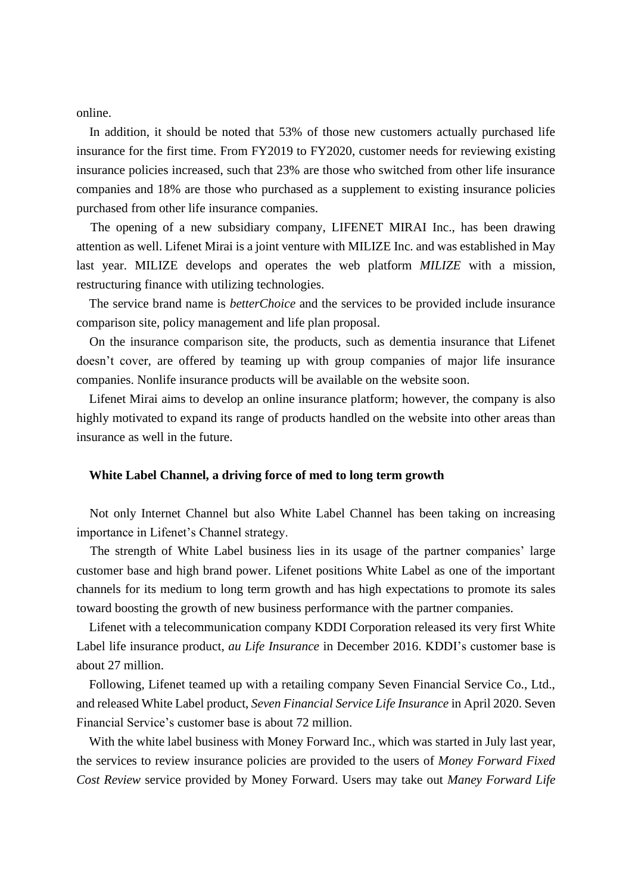online.

In addition, it should be noted that 53% of those new customers actually purchased life insurance for the first time. From FY2019 to FY2020, customer needs for reviewing existing insurance policies increased, such that 23% are those who switched from other life insurance companies and 18% are those who purchased as a supplement to existing insurance policies purchased from other life insurance companies.

The opening of a new subsidiary company, LIFENET MIRAI Inc., has been drawing attention as well. Lifenet Mirai is a joint venture with MILIZE Inc. and was established in May last year. MILIZE develops and operates the web platform *MILIZE* with a mission, restructuring finance with utilizing technologies.

The service brand name is *betterChoice* and the services to be provided include insurance comparison site, policy management and life plan proposal.

On the insurance comparison site, the products, such as dementia insurance that Lifenet doesn't cover, are offered by teaming up with group companies of major life insurance companies. Nonlife insurance products will be available on the website soon.

Lifenet Mirai aims to develop an online insurance platform; however, the company is also highly motivated to expand its range of products handled on the website into other areas than insurance as well in the future.

### **White Label Channel, a driving force of med to long term growth**

Not only Internet Channel but also White Label Channel has been taking on increasing importance in Lifenet's Channel strategy.

The strength of White Label business lies in its usage of the partner companies' large customer base and high brand power. Lifenet positions White Label as one of the important channels for its medium to long term growth and has high expectations to promote its sales toward boosting the growth of new business performance with the partner companies.

Lifenet with a telecommunication company KDDI Corporation released its very first White Label life insurance product, *au Life Insurance* in December 2016. KDDI's customer base is about 27 million.

Following, Lifenet teamed up with a retailing company Seven Financial Service Co., Ltd., and released White Label product, *Seven Financial Service Life Insurance* in April 2020. Seven Financial Service's customer base is about 72 million.

With the white label business with Money Forward Inc., which was started in July last year, the services to review insurance policies are provided to the users of *Money Forward Fixed Cost Review* service provided by Money Forward. Users may take out *Maney Forward Life*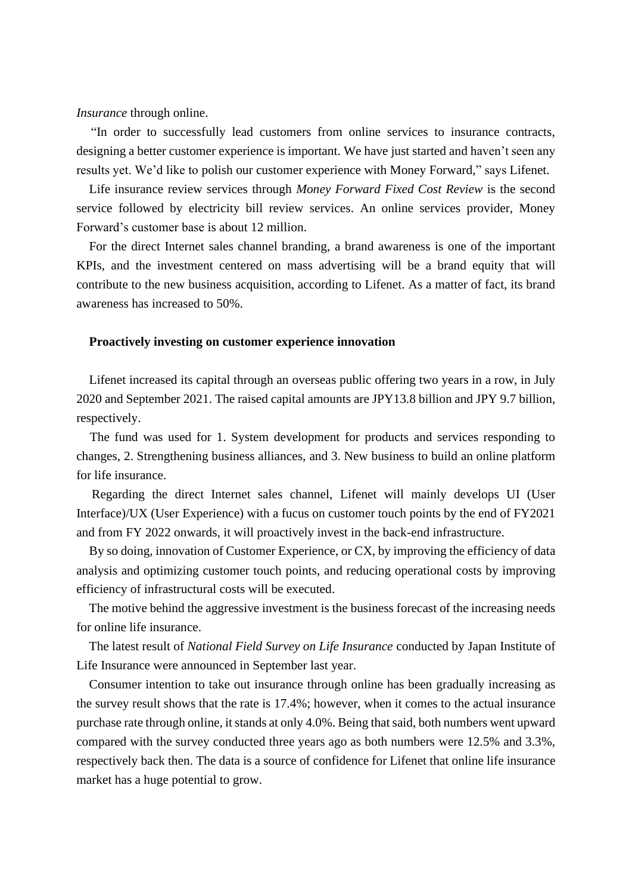*Insurance* through online.

"In order to successfully lead customers from online services to insurance contracts, designing a better customer experience is important. We have just started and haven't seen any results yet. We'd like to polish our customer experience with Money Forward," says Lifenet.

Life insurance review services through *Money Forward Fixed Cost Review* is the second service followed by electricity bill review services. An online services provider, Money Forward's customer base is about 12 million.

For the direct Internet sales channel branding, a brand awareness is one of the important KPIs, and the investment centered on mass advertising will be a brand equity that will contribute to the new business acquisition, according to Lifenet. As a matter of fact, its brand awareness has increased to 50%.

## **Proactively investing on customer experience innovation**

Lifenet increased its capital through an overseas public offering two years in a row, in July 2020 and September 2021. The raised capital amounts are JPY13.8 billion and JPY 9.7 billion, respectively.

The fund was used for 1. System development for products and services responding to changes, 2. Strengthening business alliances, and 3. New business to build an online platform for life insurance.

Regarding the direct Internet sales channel, Lifenet will mainly develops UI (User Interface)/UX (User Experience) with a fucus on customer touch points by the end of FY2021 and from FY 2022 onwards, it will proactively invest in the back-end infrastructure.

By so doing, innovation of Customer Experience, or CX, by improving the efficiency of data analysis and optimizing customer touch points, and reducing operational costs by improving efficiency of infrastructural costs will be executed.

The motive behind the aggressive investment is the business forecast of the increasing needs for online life insurance.

The latest result of *National Field Survey on Life Insurance* conducted by Japan Institute of Life Insurance were announced in September last year.

Consumer intention to take out insurance through online has been gradually increasing as the survey result shows that the rate is 17.4%; however, when it comes to the actual insurance purchase rate through online, it stands at only 4.0%. Being that said, both numbers went upward compared with the survey conducted three years ago as both numbers were 12.5% and 3.3%, respectively back then. The data is a source of confidence for Lifenet that online life insurance market has a huge potential to grow.